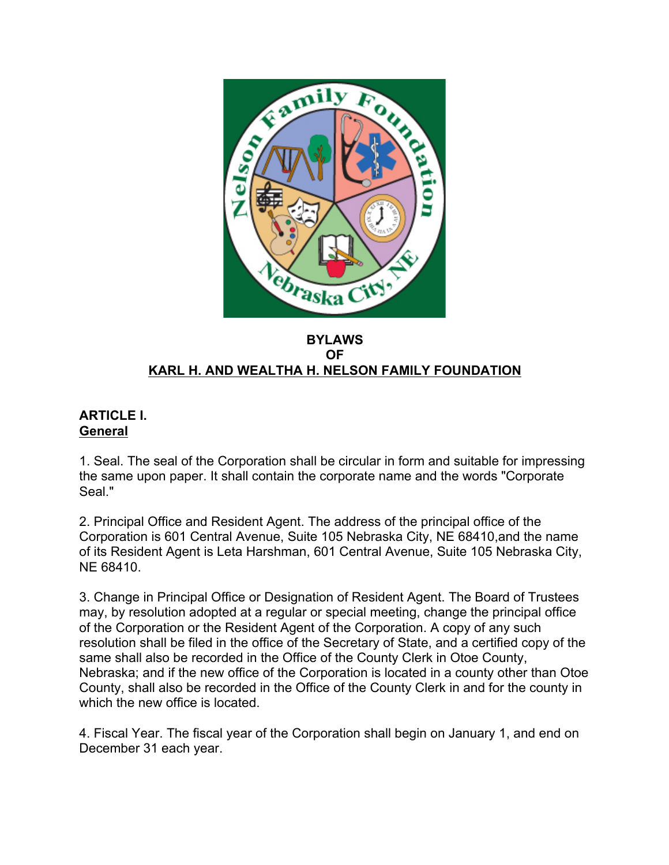

#### **BYLAWS OF KARL H. AND WEALTHA H. NELSON FAMILY FOUNDATION**

# **ARTICLE I. General**

1. Seal. The seal of the Corporation shall be circular in form and suitable for impressing the same upon paper. It shall contain the corporate name and the words "Corporate Seal."

2. Principal Office and Resident Agent. The address of the principal office of the Corporation is 601 Central Avenue, Suite 105 Nebraska City, NE 68410,and the name of its Resident Agent is Leta Harshman, 601 Central Avenue, Suite 105 Nebraska City, NE 68410.

3. Change in Principal Office or Designation of Resident Agent. The Board of Trustees may, by resolution adopted at a regular or special meeting, change the principal office of the Corporation or the Resident Agent of the Corporation. A copy of any such resolution shall be filed in the office of the Secretary of State, and a certified copy of the same shall also be recorded in the Office of the County Clerk in Otoe County, Nebraska; and if the new office of the Corporation is located in a county other than Otoe County, shall also be recorded in the Office of the County Clerk in and for the county in which the new office is located.

4. Fiscal Year. The fiscal year of the Corporation shall begin on January 1, and end on December 31 each year.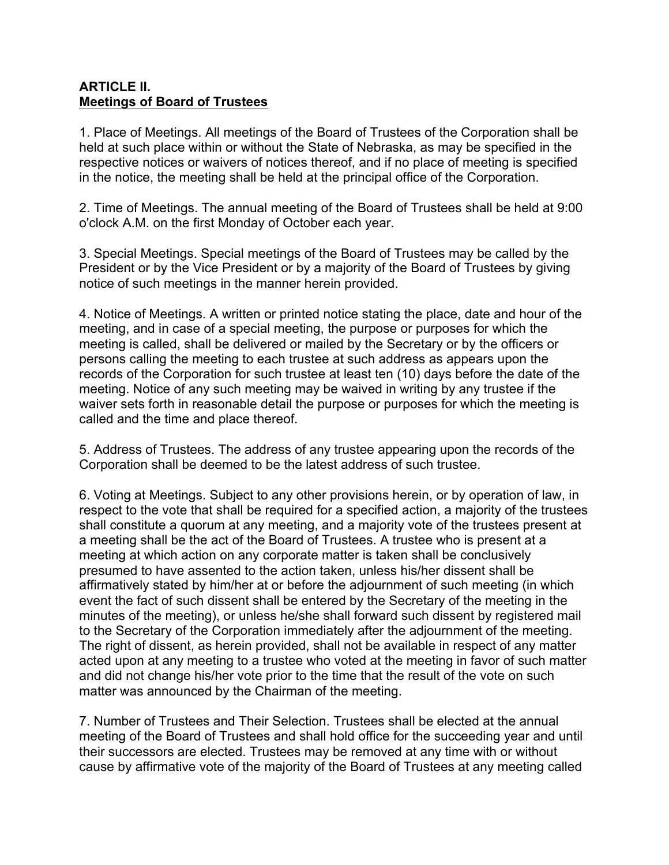### **ARTICLE II. Meetings of Board of Trustees**

1. Place of Meetings. All meetings of the Board of Trustees of the Corporation shall be held at such place within or without the State of Nebraska, as may be specified in the respective notices or waivers of notices thereof, and if no place of meeting is specified in the notice, the meeting shall be held at the principal office of the Corporation.

2. Time of Meetings. The annual meeting of the Board of Trustees shall be held at 9:00 o'clock A.M. on the first Monday of October each year.

3. Special Meetings. Special meetings of the Board of Trustees may be called by the President or by the Vice President or by a majority of the Board of Trustees by giving notice of such meetings in the manner herein provided.

4. Notice of Meetings. A written or printed notice stating the place, date and hour of the meeting, and in case of a special meeting, the purpose or purposes for which the meeting is called, shall be delivered or mailed by the Secretary or by the officers or persons calling the meeting to each trustee at such address as appears upon the records of the Corporation for such trustee at least ten (10) days before the date of the meeting. Notice of any such meeting may be waived in writing by any trustee if the waiver sets forth in reasonable detail the purpose or purposes for which the meeting is called and the time and place thereof.

5. Address of Trustees. The address of any trustee appearing upon the records of the Corporation shall be deemed to be the latest address of such trustee.

6. Voting at Meetings. Subject to any other provisions herein, or by operation of law, in respect to the vote that shall be required for a specified action, a majority of the trustees shall constitute a quorum at any meeting, and a majority vote of the trustees present at a meeting shall be the act of the Board of Trustees. A trustee who is present at a meeting at which action on any corporate matter is taken shall be conclusively presumed to have assented to the action taken, unless his/her dissent shall be affirmatively stated by him/her at or before the adjournment of such meeting (in which event the fact of such dissent shall be entered by the Secretary of the meeting in the minutes of the meeting), or unless he/she shall forward such dissent by registered mail to the Secretary of the Corporation immediately after the adjournment of the meeting. The right of dissent, as herein provided, shall not be available in respect of any matter acted upon at any meeting to a trustee who voted at the meeting in favor of such matter and did not change his/her vote prior to the time that the result of the vote on such matter was announced by the Chairman of the meeting.

7. Number of Trustees and Their Selection. Trustees shall be elected at the annual meeting of the Board of Trustees and shall hold office for the succeeding year and until their successors are elected. Trustees may be removed at any time with or without cause by affirmative vote of the majority of the Board of Trustees at any meeting called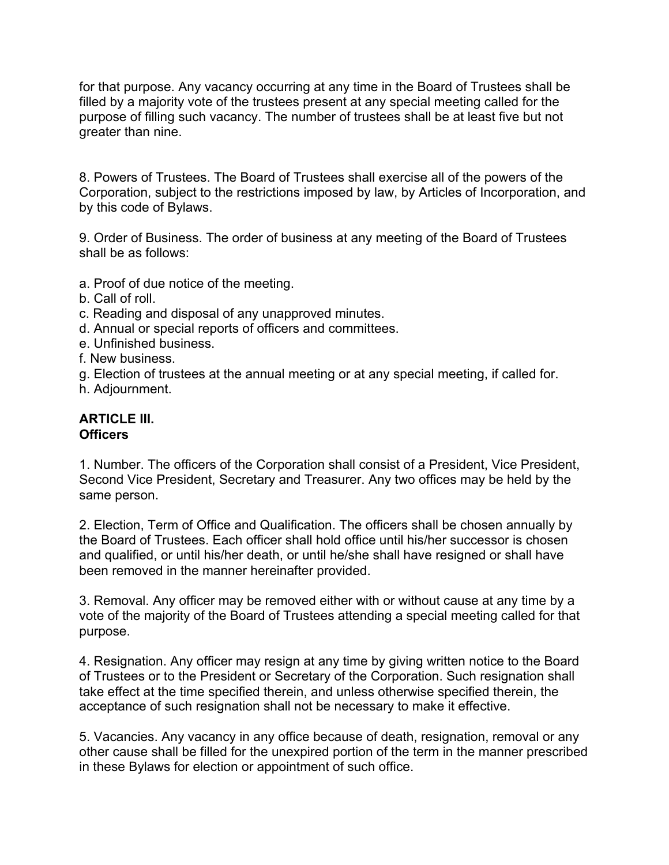for that purpose. Any vacancy occurring at any time in the Board of Trustees shall be filled by a majority vote of the trustees present at any special meeting called for the purpose of filling such vacancy. The number of trustees shall be at least five but not greater than nine.

8. Powers of Trustees. The Board of Trustees shall exercise all of the powers of the Corporation, subject to the restrictions imposed by law, by Articles of Incorporation, and by this code of Bylaws.

9. Order of Business. The order of business at any meeting of the Board of Trustees shall be as follows:

- a. Proof of due notice of the meeting.
- b. Call of roll.
- c. Reading and disposal of any unapproved minutes.
- d. Annual or special reports of officers and committees.
- e. Unfinished business.
- f. New business.
- g. Election of trustees at the annual meeting or at any special meeting, if called for.
- h. Adjournment.

### **ARTICLE III. Officers**

1. Number. The officers of the Corporation shall consist of a President, Vice President, Second Vice President, Secretary and Treasurer. Any two offices may be held by the same person.

2. Election, Term of Office and Qualification. The officers shall be chosen annually by the Board of Trustees. Each officer shall hold office until his/her successor is chosen and qualified, or until his/her death, or until he/she shall have resigned or shall have been removed in the manner hereinafter provided.

3. Removal. Any officer may be removed either with or without cause at any time by a vote of the majority of the Board of Trustees attending a special meeting called for that purpose.

4. Resignation. Any officer may resign at any time by giving written notice to the Board of Trustees or to the President or Secretary of the Corporation. Such resignation shall take effect at the time specified therein, and unless otherwise specified therein, the acceptance of such resignation shall not be necessary to make it effective.

5. Vacancies. Any vacancy in any office because of death, resignation, removal or any other cause shall be filled for the unexpired portion of the term in the manner prescribed in these Bylaws for election or appointment of such office.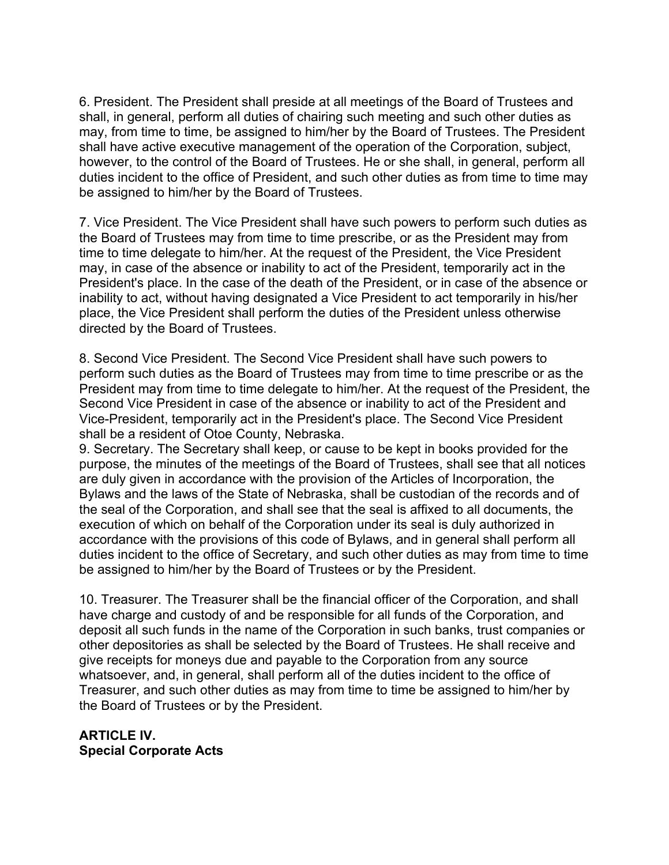6. President. The President shall preside at all meetings of the Board of Trustees and shall, in general, perform all duties of chairing such meeting and such other duties as may, from time to time, be assigned to him/her by the Board of Trustees. The President shall have active executive management of the operation of the Corporation, subject, however, to the control of the Board of Trustees. He or she shall, in general, perform all duties incident to the office of President, and such other duties as from time to time may be assigned to him/her by the Board of Trustees.

7. Vice President. The Vice President shall have such powers to perform such duties as the Board of Trustees may from time to time prescribe, or as the President may from time to time delegate to him/her. At the request of the President, the Vice President may, in case of the absence or inability to act of the President, temporarily act in the President's place. In the case of the death of the President, or in case of the absence or inability to act, without having designated a Vice President to act temporarily in his/her place, the Vice President shall perform the duties of the President unless otherwise directed by the Board of Trustees.

8. Second Vice President. The Second Vice President shall have such powers to perform such duties as the Board of Trustees may from time to time prescribe or as the President may from time to time delegate to him/her. At the request of the President, the Second Vice President in case of the absence or inability to act of the President and Vice-President, temporarily act in the President's place. The Second Vice President shall be a resident of Otoe County, Nebraska.

9. Secretary. The Secretary shall keep, or cause to be kept in books provided for the purpose, the minutes of the meetings of the Board of Trustees, shall see that all notices are duly given in accordance with the provision of the Articles of Incorporation, the Bylaws and the laws of the State of Nebraska, shall be custodian of the records and of the seal of the Corporation, and shall see that the seal is affixed to all documents, the execution of which on behalf of the Corporation under its seal is duly authorized in accordance with the provisions of this code of Bylaws, and in general shall perform all duties incident to the office of Secretary, and such other duties as may from time to time be assigned to him/her by the Board of Trustees or by the President.

10. Treasurer. The Treasurer shall be the financial officer of the Corporation, and shall have charge and custody of and be responsible for all funds of the Corporation, and deposit all such funds in the name of the Corporation in such banks, trust companies or other depositories as shall be selected by the Board of Trustees. He shall receive and give receipts for moneys due and payable to the Corporation from any source whatsoever, and, in general, shall perform all of the duties incident to the office of Treasurer, and such other duties as may from time to time be assigned to him/her by the Board of Trustees or by the President.

**ARTICLE IV. Special Corporate Acts**